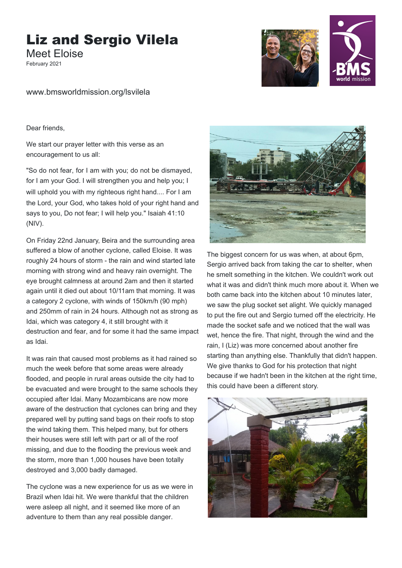## Liz and Sergio Vilela

Meet Eloise February 2021



www.bmsworldmission.org/lsvilela

Dear friends,

We start our prayer letter with this verse as an encouragement to us all:

will uphold you with my righteous right hand.... For I am the Lord, your God, who takes hold of your right hand and says to you, Do not fear; I will help you." Isaiah 41:10 (NIV). "So do not fear, for I am with you; do not be dismayed, for I am your God. I will strengthen you and help you; I

On Friday 22nd January, Beira and the surrounding area suffered a blow of another cyclone, called Eloise. It was roughly 24 hours of storm - the rain and wind started late morning with strong wind and heavy rain overnight. The eye brought calmness at around 2am and then it started again until it died out about 10/11am that morning. It was a category 2 cyclone, with winds of 150km/h (90 mph) and 250mm of rain in 24 hours. Although not as strong as Idai, which was category 4, it still brought with it destruction and fear, and for some it had the same impact as Idai.

It was rain that caused most problems as it had rained so much the week before that some areas were already flooded, and people in rural areas outside the city had to be evacuated and were brought to the same schools they occupied after Idai. Many Mozambicans are now more aware of the destruction that cyclones can bring and they prepared well by putting sand bags on their roofs to stop the wind taking them. This helped many, but for others their houses were still left with part or all of the roof missing, and due to the flooding the previous week and the storm, more than 1,000 houses have been totally destroyed and 3,000 badly damaged.

The cyclone was a new experience for us as we were in Brazil when Idai hit. We were thankful that the children were asleep all night, and it seemed like more of an adventure to them than any real possible danger.



The biggest concern for us was when, at about 6pm, Sergio arrived back from taking the car to shelter, when he smelt something in the kitchen. We couldn't work out what it was and didn't think much more about it. When we both came back into the kitchen about 10 minutes later, we saw the plug socket set alight. We quickly managed to put the fire out and Sergio turned off the electricity. He made the socket safe and we noticed that the wall was wet, hence the fire. That night, through the wind and the rain, I (Liz) was more concerned about another fire starting than anything else. Thankfully that didn't happen. We give thanks to God for his protection that night because if we hadn't been in the kitchen at the right time, this could have been a different story.